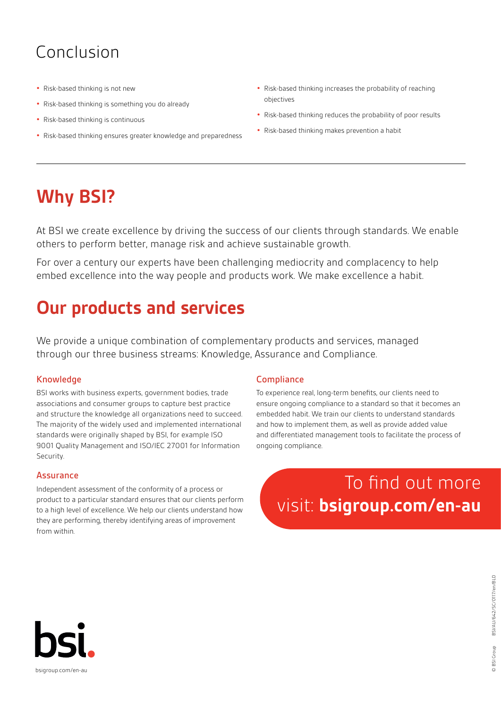#### Conclusion

- **•** Risk-based thinking is not new
- **•** Risk-based thinking is something you do already
- **•** Risk-based thinking is continuous
- **•** Risk-based thinking ensures greater knowledge and preparedness
- **•** Risk-based thinking increases the probability of reaching objectives
- **•** Risk-based thinking reduces the probability of poor results
- **•** Risk-based thinking makes prevention a habit

# **Why BSI?**

At BSI we create excellence by driving the success of our clients through standards. We enable others to perform better, manage risk and achieve sustainable growth.

For over a century our experts have been challenging mediocrity and complacency to help embed excellence into the way people and products work. We make excellence a habit.

# **Our products and services**

We provide a unique combination of complementary products and services, managed through our three business streams: Knowledge, Assurance and Compliance.

#### Knowledge

BSI works with business experts, government bodies, trade associations and consumer groups to capture best practice and structure the knowledge all organizations need to succeed. The majority of the widely used and implemented international standards were originally shaped by BSI, for example ISO 9001 Quality Management and ISO/IEC 27001 for Information Security.

#### Assurance

Independent assessment of the conformity of a process or product to a particular standard ensures that our clients perform to a high level of excellence. We help our clients understand how they are performing, thereby identifying areas of improvement from within.

#### **Compliance**

To experience real, long-term benefits, our clients need to ensure ongoing compliance to a standard so that it becomes an embedded habit. We train our clients to understand standards and how to implement them, as well as provide added value and differentiated management tools to facilitate the process of ongoing compliance.

# To find out more visit: **bsigroup.com/en-au**

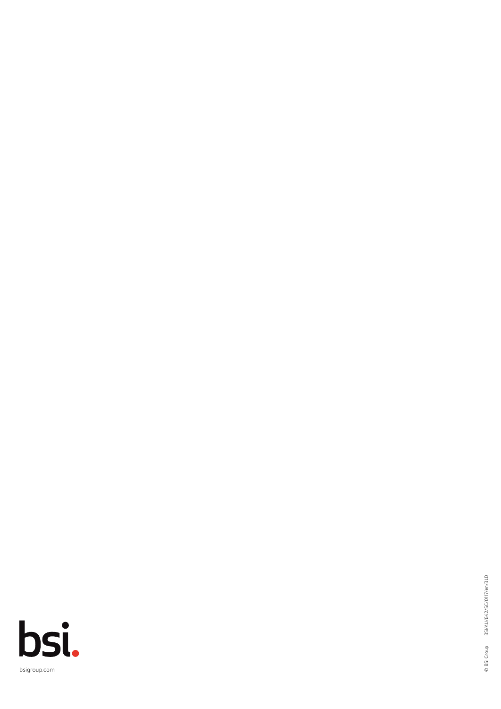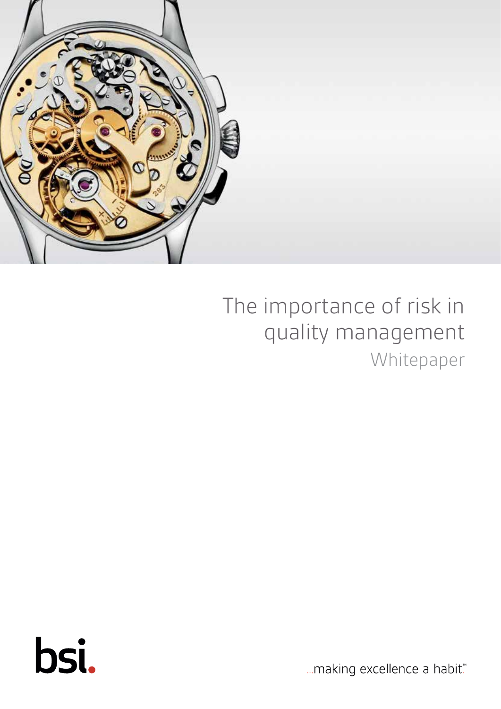

# The importance of risk in quality management Whitepaper



... making excellence a habit."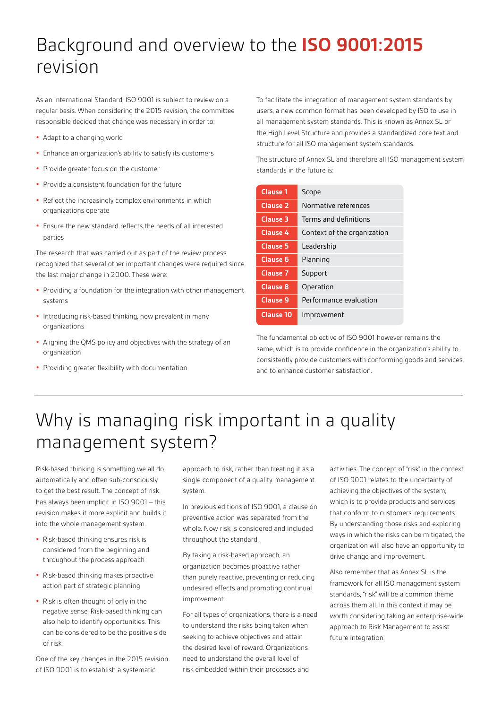# Background and overview to the **ISO 9001:2015** revision

As an International Standard, ISO 9001 is subject to review on a regular basis. When considering the 2015 revision, the committee responsible decided that change was necessary in order to:

- **•** Adapt to a changing world
- **•** Enhance an organization's ability to satisfy its customers
- **•** Provide greater focus on the customer
- **•** Provide a consistent foundation for the future
- **•** Reflect the increasingly complex environments in which organizations operate
- **•** Ensure the new standard reflects the needs of all interested parties

The research that was carried out as part of the review process recognized that several other important changes were required since the last major change in 2000. These were:

- **•** Providing a foundation for the integration with other management systems
- **•** Introducing risk-based thinking, now prevalent in many organizations
- **•** Aligning the QMS policy and objectives with the strategy of an organization
- **•** Providing greater flexibility with documentation

To facilitate the integration of management system standards by users, a new common format has been developed by ISO to use in all management system standards. This is known as Annex SL or the High Level Structure and provides a standardized core text and structure for all ISO management system standards.

The structure of Annex SL and therefore all ISO management system standards in the future is:

| <b>Clause 1</b>     | Scope                       |
|---------------------|-----------------------------|
| Clause <sub>2</sub> | Normative references        |
| <b>Clause 3</b>     | Terms and definitions       |
| Clause 4            | Context of the organization |
| <b>Clause 5</b>     | Leadership                  |
| <b>Clause 6</b>     | Planning                    |
| <b>Clause 7</b>     | Support                     |
| <b>Clause 8</b>     | Operation                   |
| <b>Clause 9</b>     | Performance evaluation      |
| <b>Clause 10</b>    | Improvement                 |

The fundamental objective of ISO 9001 however remains the same, which is to provide confidence in the organization's ability to consistently provide customers with conforming goods and services, and to enhance customer satisfaction.

# Why is managing risk important in a quality management system?

Risk-based thinking is something we all do automatically and often sub-consciously to get the best result. The concept of risk has always been implicit in ISO 9001 – this revision makes it more explicit and builds it into the whole management system.

- **•** Risk-based thinking ensures risk is considered from the beginning and throughout the process approach
- **•** Risk-based thinking makes proactive action part of strategic planning
- **•** Risk is often thought of only in the negative sense. Risk-based thinking can also help to identify opportunities. This can be considered to be the positive side of risk.

One of the key changes in the 2015 revision of ISO 9001 is to establish a systematic

approach to risk, rather than treating it as a single component of a quality management system.

In previous editions of ISO 9001, a clause on preventive action was separated from the whole. Now risk is considered and included throughout the standard.

By taking a risk-based approach, an organization becomes proactive rather than purely reactive, preventing or reducing undesired effects and promoting continual improvement.

For all types of organizations, there is a need to understand the risks being taken when seeking to achieve objectives and attain the desired level of reward. Organizations need to understand the overall level of risk embedded within their processes and

activities. The concept of "risk" in the context of ISO 9001 relates to the uncertainty of achieving the objectives of the system, which is to provide products and services that conform to customers' requirements. By understanding those risks and exploring ways in which the risks can be mitigated, the organization will also have an opportunity to drive change and improvement.

Also remember that as Annex SL is the framework for all ISO management system standards, "risk" will be a common theme across them all. In this context it may be worth considering taking an enterprise-wide approach to Risk Management to assist future integration.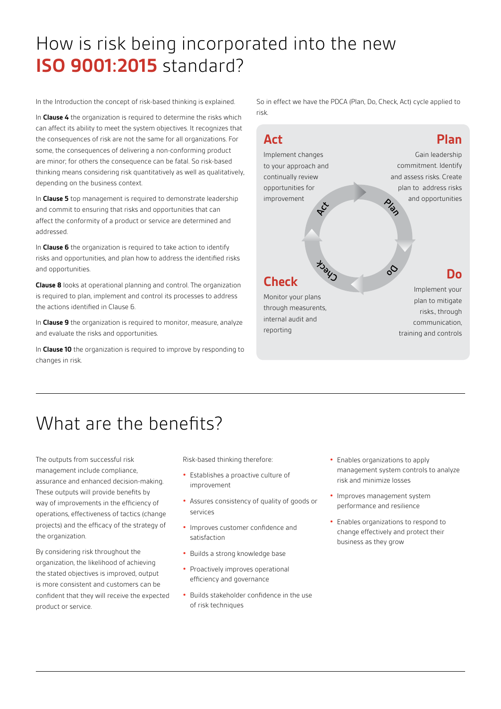# How is risk being incorporated into the new **ISO 9001:2015** standard?

In the Introduction the concept of risk-based thinking is explained.

In **Clause 4** the organization is required to determine the risks which can affect its ability to meet the system objectives. It recognizes that the consequences of risk are not the same for all organizations. For some, the consequences of delivering a non-conforming product are minor; for others the consequence can be fatal. So risk-based thinking means considering risk quantitatively as well as qualitatively, depending on the business context.

In **Clause 5** top management is required to demonstrate leadership and commit to ensuring that risks and opportunities that can affect the conformity of a product or service are determined and addressed.

In **Clause 6** the organization is required to take action to identify risks and opportunities, and plan how to address the identified risks and opportunities.

**Clause 8** looks at operational planning and control. The organization is required to plan, implement and control its processes to address the actions identified in Clause 6.

In **Clause 9** the organization is required to monitor, measure, analyze and evaluate the risks and opportunities.

In **Clause 10** the organization is required to improve by responding to changes in risk.

So in effect we have the PDCA (Plan, Do, Check, Act) cycle applied to risk.



Monitor your plans through measurents, internal audit and reporting

plan to mitigate risks., through communication, training and controls

# What are the benefits?

The outputs from successful risk management include compliance, assurance and enhanced decision-making. These outputs will provide benefits by way of improvements in the efficiency of operations, effectiveness of tactics (change projects) and the efficacy of the strategy of the organization.

By considering risk throughout the organization, the likelihood of achieving the stated objectives is improved, output is more consistent and customers can be confident that they will receive the expected product or service.

Risk-based thinking therefore:

- **•** Establishes a proactive culture of improvement
- **•** Assures consistency of quality of goods or services
- **•** Improves customer confidence and satisfaction
- **•** Builds a strong knowledge base
- **•** Proactively improves operational efficiency and governance
- **•** Builds stakeholder confidence in the use of risk techniques
- **•** Enables organizations to apply management system controls to analyze risk and minimize losses
- **•** Improves management system performance and resilience
- **•** Enables organizations to respond to change effectively and protect their business as they grow